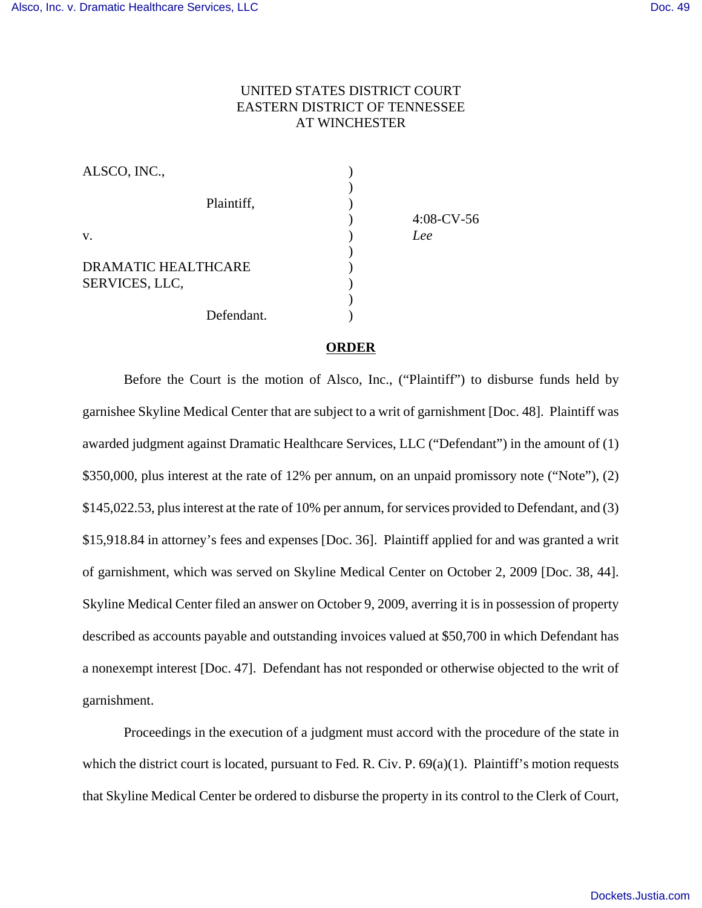## UNITED STATES DISTRICT COURT EASTERN DISTRICT OF TENNESSEE AT WINCHESTER

| ALSCO, INC.,        |               |
|---------------------|---------------|
|                     |               |
| Plaintiff,          |               |
|                     | $4:08$ -CV-56 |
| V.                  | Lee           |
|                     |               |
| DRAMATIC HEALTHCARE |               |
| SERVICES, LLC,      |               |
|                     |               |
| Defendant.          |               |

## **ORDER**

Before the Court is the motion of Alsco, Inc., ("Plaintiff") to disburse funds held by garnishee Skyline Medical Center that are subject to a writ of garnishment [Doc. 48]. Plaintiff was awarded judgment against Dramatic Healthcare Services, LLC ("Defendant") in the amount of (1) \$350,000, plus interest at the rate of 12% per annum, on an unpaid promissory note ("Note"), (2) \$145,022.53, plus interest at the rate of 10% per annum, for services provided to Defendant, and (3) \$15,918.84 in attorney's fees and expenses [Doc. 36]. Plaintiff applied for and was granted a writ of garnishment, which was served on Skyline Medical Center on October 2, 2009 [Doc. 38, 44]. Skyline Medical Center filed an answer on October 9, 2009, averring it is in possession of property described as accounts payable and outstanding invoices valued at \$50,700 in which Defendant has a nonexempt interest [Doc. 47]. Defendant has not responded or otherwise objected to the writ of garnishment.

Proceedings in the execution of a judgment must accord with the procedure of the state in which the district court is located, pursuant to Fed. R. Civ. P. 69(a)(1). Plaintiff's motion requests that Skyline Medical Center be ordered to disburse the property in its control to the Clerk of Court,